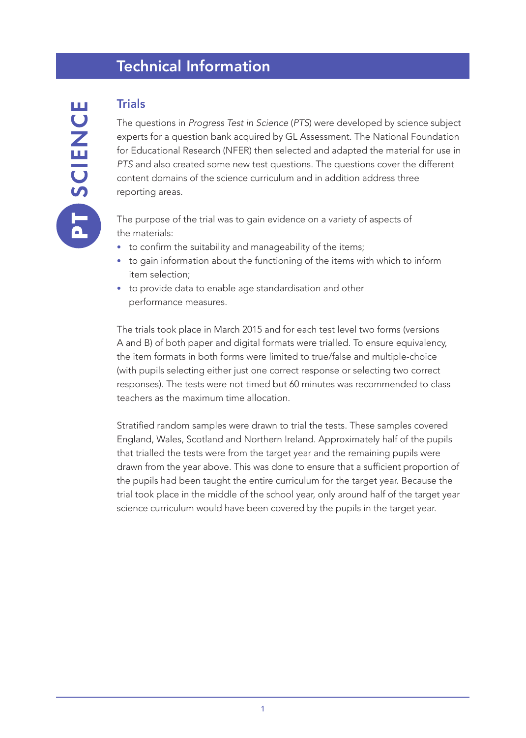# Technical Information

## Trials

The questions in *Progress Test in Science* (*PTS*) were developed by science subject experts for a question bank acquired by GL Assessment. The National Foundation for Educational Research (NFER) then selected and adapted the material for use in *PTS* and also created some new test questions. The questions cover the different content domains of the science curriculum and in addition address three reporting areas.

The purpose of the trial was to gain evidence on a variety of aspects of the materials:

- to confirm the suitability and manageability of the items;
- to gain information about the functioning of the items with which to inform item selection;
- to provide data to enable age standardisation and other performance measures.

The trials took place in March 2015 and for each test level two forms (versions A and B) of both paper and digital formats were trialled. To ensure equivalency, the item formats in both forms were limited to true/false and multiple-choice (with pupils selecting either just one correct response or selecting two correct responses). The tests were not timed but 60 minutes was recommended to class teachers as the maximum time allocation.

Stratified random samples were drawn to trial the tests. These samples covered England, Wales, Scotland and Northern Ireland. Approximately half of the pupils that trialled the tests were from the target year and the remaining pupils were drawn from the year above. This was done to ensure that a sufficient proportion of the pupils had been taught the entire curriculum for the target year. Because the trial took place in the middle of the school year, only around half of the target year science curriculum would have been covered by the pupils in the target year.

ш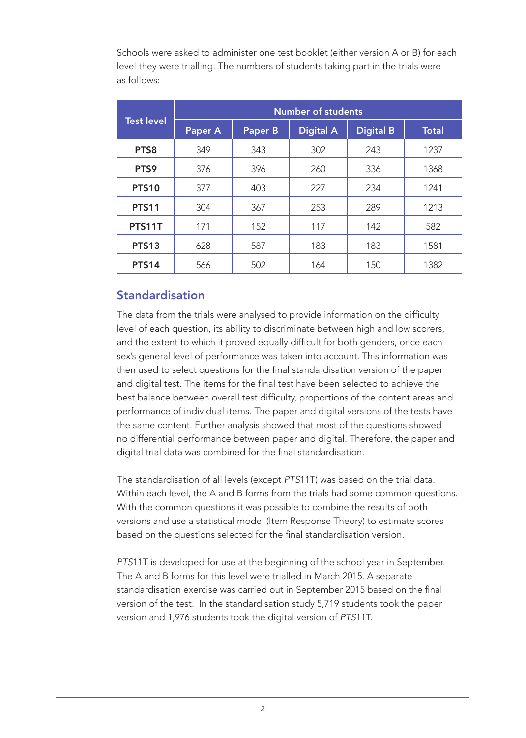Schools were asked to administer one test booklet (either version A or B) for each level they were trialling. The numbers of students taking part in the trials were as follows:

|                   | <b>Number of students</b> |         |                  |                  |              |  |
|-------------------|---------------------------|---------|------------------|------------------|--------------|--|
| <b>Test level</b> | <b>Paper A</b>            | Paper B | <b>Digital A</b> | <b>Digital B</b> | <b>Total</b> |  |
| PTS8              | 349                       | 343     | 302              | 243              | 1237         |  |
| PTS9              | 376                       | 396     | 260              | 336              | 1368         |  |
| <b>PTS10</b>      | 377                       | 403     | 227              | 234              | 1241         |  |
| <b>PTS11</b>      | 304                       | 367     | 253              | 289              | 1213         |  |
| <b>PTS11T</b>     | 171                       | 152     | 117              | 142              | 582          |  |
| <b>PTS13</b>      | 628                       | 587     | 183              | 183              | 1581         |  |
| <b>PTS14</b>      | 566                       | 502     | 164              | 150              | 1382         |  |

#### Standardisation

The data from the trials were analysed to provide information on the difficulty level of each question, its ability to discriminate between high and low scorers, and the extent to which it proved equally difficult for both genders, once each sex's general level of performance was taken into account. This information was then used to select questions for the final standardisation version of the paper and digital test. The items for the final test have been selected to achieve the best balance between overall test difficulty, proportions of the content areas and performance of individual items. The paper and digital versions of the tests have the same content. Further analysis showed that most of the questions showed no differential performance between paper and digital. Therefore, the paper and digital trial data was combined for the final standardisation.

The standardisation of all levels (except *PTS*11T) was based on the trial data. Within each level, the A and B forms from the trials had some common questions. With the common questions it was possible to combine the results of both versions and use a statistical model (Item Response Theory) to estimate scores based on the questions selected for the final standardisation version.

*PTS*11T is developed for use at the beginning of the school year in September. The A and B forms for this level were trialled in March 2015. A separate standardisation exercise was carried out in September 2015 based on the final version of the test. In the standardisation study 5,719 students took the paper version and 1,976 students took the digital version of *PTS*11T.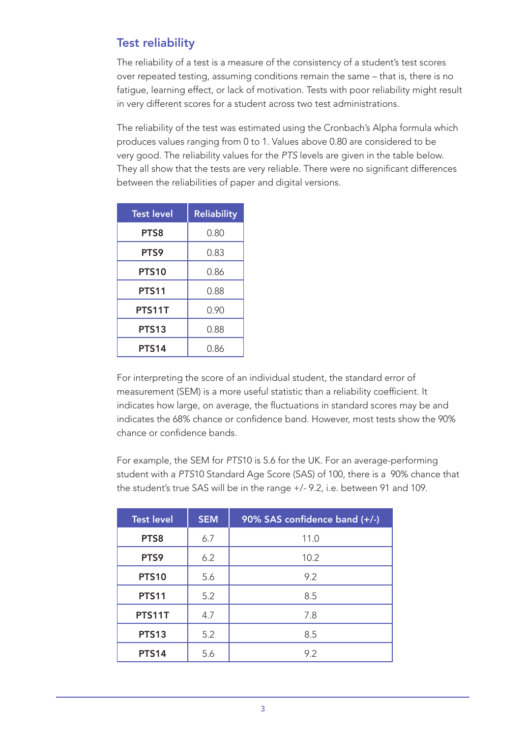### Test reliability

The reliability of a test is a measure of the consistency of a student's test scores over repeated testing, assuming conditions remain the same – that is, there is no fatigue, learning effect, or lack of motivation. Tests with poor reliability might result in very different scores for a student across two test administrations.

The reliability of the test was estimated using the Cronbach's Alpha formula which produces values ranging from 0 to 1. Values above 0.80 are considered to be very good. The reliability values for the *PTS* levels are given in the table below. They all show that the tests are very reliable. There were no significant differences between the reliabilities of paper and digital versions.

| <b>Test level</b> | <b>Reliability</b> |
|-------------------|--------------------|
| PTS8              | 0.80               |
| PTS9              | 0.83               |
| PTS10             | 0.86               |
| <b>PTS11</b>      | 0.88               |
| PTS11T            | 0.90               |
| PTS13             | 0.88               |
| PTS14             | 0.86               |

For interpreting the score of an individual student, the standard error of measurement (SEM) is a more useful statistic than a reliability coefficient. It indicates how large, on average, the fluctuations in standard scores may be and indicates the 68% chance or confidence band. However, most tests show the 90% chance or confidence bands.

For example, the SEM for *PTS*10 is 5.6 for the UK. For an average-performing student with a *PTS*10 Standard Age Score (SAS) of 100, there is a 90% chance that the student's true SAS will be in the range +/- 9.2, i.e. between 91 and 109.

| <b>Test level</b> | <b>SEM</b> | 90% SAS confidence band (+/-) |  |
|-------------------|------------|-------------------------------|--|
| PTS8              | 6.7        | 11.0                          |  |
| PTS9              | 6.2        | 10.2                          |  |
| <b>PTS10</b>      | 5.6        | 9.2                           |  |
| <b>PTS11</b>      | 5.2        | 8.5                           |  |
| PTS11T            | 4.7        | 7.8                           |  |
| <b>PTS13</b>      | 5.2        | 8.5                           |  |
| <b>PTS14</b>      | 5.6        | 9.2                           |  |